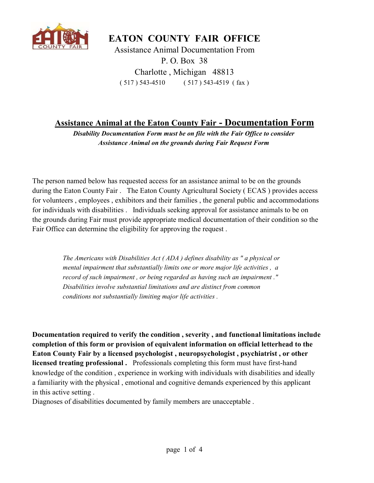

EATON COUNTY FAIR OFFICE

P. O. Box 38 Charlotte , Michigan 48813 ( 517 ) 543-4510 ( 517 ) 543-4519 ( fax ) Assistance Animal Documentation From

## Assistance Animal at the Eaton County Fair - Documentation Form

Disability Documentation Form must be on file with the Fair Office to consider Assistance Animal on the grounds during Fair Request Form

The person named below has requested access for an assistance animal to be on the grounds during the Eaton County Fair . The Eaton County Agricultural Society ( ECAS ) provides access for volunteers , employees , exhibitors and their families , the general public and accommodations for individuals with disabilities . Individuals seeking approval for assistance animals to be on the grounds during Fair must provide appropriate medical documentation of their condition so the Fair Office can determine the eligibility for approving the request .

> The Americans with Disabilities Act ( ADA ) defines disability as " a physical or mental impairment that substantially limits one or more major life activities, a record of such impairment , or being regarded as having such an impairment ." Disabilities involve substantial limitations and are distinct from common conditions not substantially limiting major life activities .

Documentation required to verify the condition , severity , and functional limitations include completion of this form or provision of equivalent information on official letterhead to the Eaton County Fair by a licensed psychologist , neuropsychologist , psychiatrist , or other licensed treating professional . Professionals completing this form must have first-hand knowledge of the condition , experience in working with individuals with disabilities and ideally a familiarity with the physical , emotional and cognitive demands experienced by this applicant in this active setting .

Diagnoses of disabilities documented by family members are unacceptable .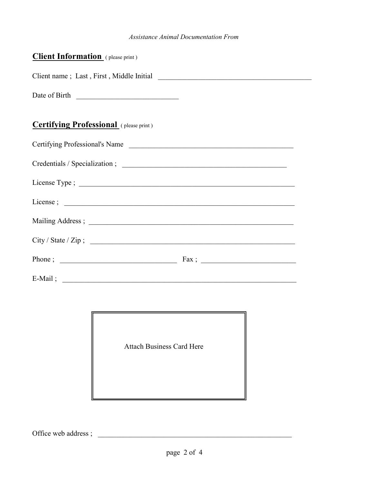## Assistance Animal Documentation From

| Client Information (please print)             |  |
|-----------------------------------------------|--|
|                                               |  |
| Date of Birth                                 |  |
|                                               |  |
| <b>Certifying Professional</b> (please print) |  |
| Certifying Professional's Name                |  |
|                                               |  |
|                                               |  |
|                                               |  |
|                                               |  |
| City / State / Zip ;                          |  |
|                                               |  |
| E-Mail;                                       |  |



Office web address ; \_\_\_\_\_\_\_\_\_\_\_\_\_\_\_\_\_\_\_\_\_\_\_\_\_\_\_\_\_\_\_\_\_\_\_\_\_\_\_\_\_\_\_\_\_\_\_\_\_\_\_\_\_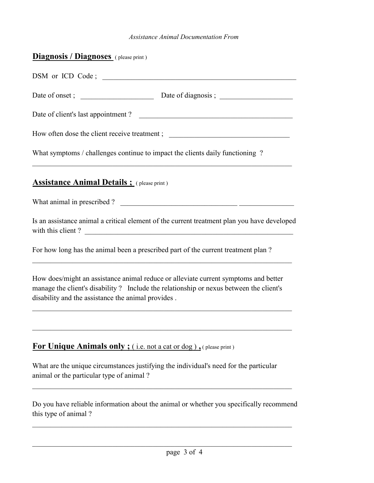## Assistance Animal Documentation From

| <b>Diagnosis / Diagnoses</b> (please print)                                                                                                                                                                                         |  |
|-------------------------------------------------------------------------------------------------------------------------------------------------------------------------------------------------------------------------------------|--|
| DSM or ICD Code;                                                                                                                                                                                                                    |  |
|                                                                                                                                                                                                                                     |  |
| Date of client's last appointment?                                                                                                                                                                                                  |  |
| How often dose the client receive treatment; ___________________________________                                                                                                                                                    |  |
| What symptoms / challenges continue to impact the clients daily functioning?                                                                                                                                                        |  |
| <b>Assistance Animal Details ;</b> (please print)                                                                                                                                                                                   |  |
| What animal in prescribed ?                                                                                                                                                                                                         |  |
| Is an assistance animal a critical element of the current treatment plan you have developed<br>with this client?                                                                                                                    |  |
| For how long has the animal been a prescribed part of the current treatment plan?                                                                                                                                                   |  |
| How does/might an assistance animal reduce or alleviate current symptoms and better<br>manage the client's disability? Include the relationship or nexus between the client's<br>disability and the assistance the animal provides. |  |
| For Unique Animals only; (i.e. not a cat or dog), (please print)                                                                                                                                                                    |  |
| What are the unique circumstances justifying the individual's need for the particular<br>animal or the particular type of animal?                                                                                                   |  |
| Do you have reliable information about the animal or whether you specifically recommend<br>this type of animal?                                                                                                                     |  |